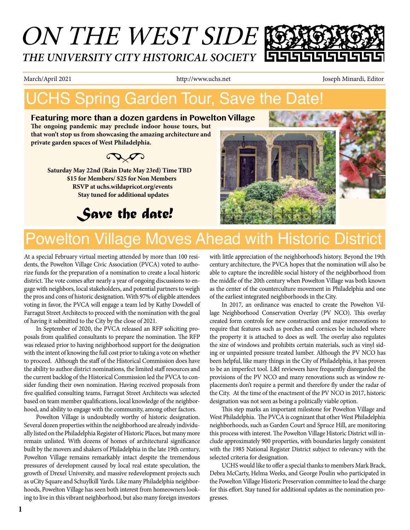# ON THE WEST SIDE *THE UNIVERSITY CITY HISTORICAL SOCIETY*

March/April 2021 **http://www.uchs.net** Joseph Minardi, Editor

## UCHS Spring Garden Tour, Save the Date!

#### **Featuring more than a dozen gardens in Powelton Village**

**The ongoing pandemic may preclude indoor house tours, but that won't stop us from showcasing the amazing architecture and private garden spaces of West Philadelphia.**



 **Saturday May 22nd (Rain Date May 23rd) Time TBD \$15 for Members/ \$25 for Non Members RSVP at uchs.wildapricot.org/events Stay tuned for additional updates**







## Powelton Village Moves Ahead with Historic District

At a special February virtual meeting attended by more than 100 residents, the Powelton Village Civic Association (PVCA) voted to authorize funds for the preparation of a nomination to create a local historic district. The vote comes after nearly a year of ongoing discussions to engage with neighbors, local stakeholders, and potential partners to weigh the pros and cons of historic designation. With 97% of eligible attendees voting in favor, the PVCA will engage a team led by Kathy Dowdell of Farragut Street Architects to proceed with the nomination with the goal of having it submitted to the City by the close of 2021.

In September of 2020, the PVCA released an RFP soliciting proposals from qualified consultants to prepare the nomination. The RFP was released prior to having neighborhood support for the designation with the intent of knowing the full cost prior to taking a vote on whether to proceed. Although the staff of the Historical Commission does have the ability to author district nominations, the limited staff resources and the current backlog of the Historical Commission led the PVCA to consider funding their own nomination. Having received proposals from five qualified consulting teams, Farragut Street Architects was selected based on team member qualifications, local knowledge of the neighborhood, and ability to engage with the community, among other factors.

Powelton Village is undoubtedly worthy of historic designation. Several dozen properties within the neighborhood are already individually listed on the Philadelphia Register of Historic Places, but many more remain unlisted. With dozens of homes of architectural significance built by the movers and shakers of Philadelphia in the late 19th century, Powelton Village remains remarkably intact despite the tremendous pressures of development caused by local real estate speculation, the growth of Drexel University, and massive redevelopment projects such as uCity Square and Schuylkill Yards. Like many Philadelphia neighborhoods, Powelton Village has seen both interest from homeowners looking to live in this vibrant neighborhood, but also many foreign investors with little appreciation of the neighborhood's history. Beyond the 19th century architecture, the PVCA hopes that the nomination will also be able to capture the incredible social history of the neighborhood from the middle of the 20th century when Powelton Village was both known as the center of the counterculture movement in Philadelphia and one of the earliest integrated neighborhoods in the City.

In 2017, an ordinance was enacted to create the Powelton Village Neighborhood Conservation Overlay (PV NCO). This overlay created form controls for new construction and major renovations to require that features such as porches and cornices be included where the property it is attached to does as well. The overlay also regulates the size of windows and prohibits certain materials, such as vinyl siding or unpainted pressure treated lumber. Although the PV NCO has been helpful, like many things in the City of Philadelphia, it has proven to be an imperfect tool. L&I reviewers have frequently disregarded the provisions of the PV NCO and many renovations such as window replacements don't require a permit and therefore fly under the radar of the City. At the time of the enactment of the PV NCO in 2017, historic designation was not seen as being a politically viable option.

This step marks an important milestone for Powelton Village and West Philadelphia. The PVCA is cognizant that other West Philadelphia neighborhoods, such as Garden Court and Spruce Hill, are monitoring this process with interest. The Powelton Village Historic District will include approximately 900 properties, with boundaries largely consistent with the 1985 National Register District subject to relevancy with the selected criteria for designation.

UCHS would like to offer a special thanks to members Mark Brack, Debra McCarty, Helma Weeks, and George Poulin who participated in the Powelton Village Historic Preservation committee to lead the charge for this effort. Stay tuned for additional updates as the nomination progresses.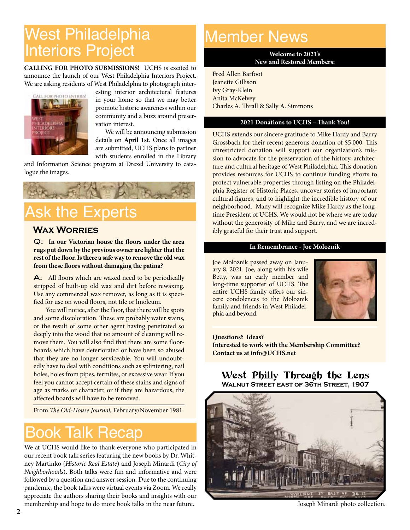## West Philadelphia Interiors Project

**CALLING FOR PHOTO SUBMISSIONS!** UCHS is excited to announce the launch of our West Philadelphia Interiors Project. We are asking residents of West Philadelphia to photograph inter-



esting interior architectural features in your home so that we may better promote historic awareness within our community and a buzz around preservation interest.

 We will be announcing submission details on **April 1st**. Once all images are submitted, UCHS plans to partner with students enrolled in the Library

and Information Science program at Drexel University to catalogue the images.



## **Ask the Experts**

#### **Wax Worries**

Q: **In our Victorian house the floors under the area rugs put down by the previous owner are lighter that the rest of the floor. Is there a safe way to remove the old wax from these floors without damaging the patina?**

A: All floors which are waxed need to be periodically stripped of built-up old wax and dirt before rewaxing. Use any commercial wax remover, as long as it is specified for use on wood floors, not tile or linoleum.

You will notice, after the floor, that there will be spots and some discoloration. These are probably water stains, or the result of some other agent having penetrated so deeply into the wood that no amount of cleaning will remove them. You will also find that there are some floorboards which have deteriorated or have been so abused that they are no longer serviceable. You will undoubtedly have to deal with conditions such as splintering, nail holes, holes from pipes, termites, or excessive wear. If you feel you cannot accept certain of these stains and signs of age as marks or character, or if they are hazardous, the affected boards will have to be removed.

From *The Old-House Journal,* February/November 1981.

#### Book Talk Recap

We at UCHS would like to thank everyone who participated in our recent book talk series featuring the new books by Dr. Whitney Martinko (*Historic Real Estate*) and Joseph Minardi (*City of Neighborhoods*). Both talks were fun and informative and were followed by a question and answer session. Due to the continuing pandemic, the book talks were virtual events via Zoom. We really appreciate the authors sharing their books and insights with our membership and hope to do more book talks in the near future.

### Member News

**Welcome to 2021's New and Restored Members:** 

Fred Allen Barfoot Jeanette Gillison Ivy Gray-Klein Anita McKelvey Charles A. Thrall & Sally A. Simmons

#### **2021 Donations to UCHS – Thank You!**

UCHS extends our sincere gratitude to Mike Hardy and Barry Grossbach for their recent generous donation of \$5,000. This unrestricted donation will support our organization's mission to advocate for the preservation of the history, architecture and cultural heritage of West Philadelphia. This donation provides resources for UCHS to continue funding efforts to protect vulnerable properties through listing on the Philadelphia Register of Historic Places, uncover stories of important cultural figures, and to highlight the incredible history of our neighborhood. Many will recognize Mike Hardy as the longtime President of UCHS. We would not be where we are today without the generosity of Mike and Barry, and we are incredibly grateful for their trust and support.

#### **In Remembrance - Joe Moloznik**

Joe Moloznik passed away on January 8, 2021. Joe, along with his wife Betty, was an early member and long-time supporter of UCHS. The entire UCHS family offers our sincere condolences to the Moloznik family and friends in West Philadelphia and beyond.



**Questions? Ideas? Interested to work with the Membership Committee? Contact us at info@UCHS.net**

West Philly Through the Lens **Walnut Street east of 36th Street, 1907**



Joseph Minardi photo collection.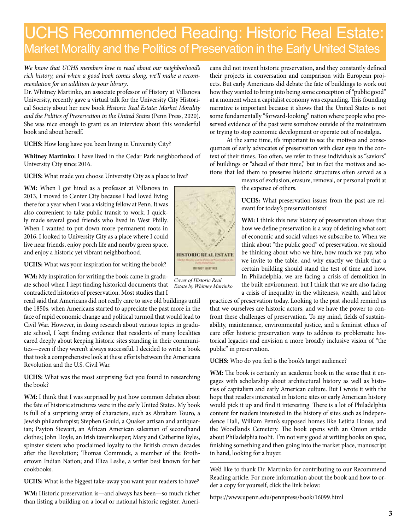### UCHS Recommended Reading: Historic Real Estate: Market Morality and the Politics of Preservation in the Early United States

*We know that UCHS members love to read about our neighborhood's rich history, and when a good book comes along, we'll make a recommendation for an addition to your library*.

Dr. Whitney Martinko, an associate professor of History at Villanova University, recently gave a virtual talk for the University City Historical Society about her new book *Historic Real Estate: Market Morality and the Politics of Preservation in the United States* (Penn Press, 2020). She was nice enough to grant us an interview about this wonderful book and about herself.

**UCHS:** How long have you been living in University City?

**Whitney Martinko:** I have lived in the Cedar Park neighborhood of University City since 2016.

**UCHS:** What made you choose University City as a place to live?

**WM:** When I got hired as a professor at Villanova in 2013, I moved to Center City because I had loved living there for a year when I was a visiting fellow at Penn. It was also convenient to take public transit to work. I quickly made several good friends who lived in West Philly. When I wanted to put down more permanent roots in 2016, I looked to University City as a place where I could live near friends, enjoy porch life and nearby green space, and enjoy a historic yet vibrant neighborhood.

**UCHS:** What was your inspiration for writing the book?

**WM:** My inspiration for writing the book came in graduate school when I kept finding historical documents that contradicted histories of preservation. Most studies that I

read said that Americans did not really care to save old buildings until the 1850s, when Americans started to appreciate the past more in the face of rapid economic change and political turmoil that would lead to Civil War. However, in doing research about various topics in graduate school, I kept finding evidence that residents of many localities cared deeply about keeping historic sites standing in their communities—even if they weren't always successful. I decided to write a book that took a comprehensive look at these efforts between the Americans Revolution and the U.S. Civil War.

**UCHS:** What was the most surprising fact you found in researching the book?

WM: I think that I was surprised by just how common debates about the fate of historic structures were in the early United States. My book is full of a surprising array of characters, such as Abraham Touro, a Jewish philanthropist; Stephen Gould, a Quaker artisan and antiquarian; Payton Stewart, an African American salesman of secondhand clothes; John Doyle, an Irish tavernkeeper; Mary and Catherine Byles, spinster sisters who proclaimed loyalty to the British crown decades after the Revolution; Thomas Commuck, a member of the Brothertown Indian Nation; and Eliza Leslie, a writer best known for her cookbooks.

**UCHS:** What is the biggest take-away you want your readers to have?

**WM:** Historic preservation is—and always has been—so much richer than listing a building on a local or national historic register. Americans did not invent historic preservation, and they constantly defined their projects in conversation and comparison with European projects. But early Americans did debate the fate of buildings to work out how they wanted to bring into being some conception of "public good" at a moment when a capitalist economy was expanding. This founding narrative is important because it shows that the United States is not some fundamentally "forward-looking" nation where people who preserved evidence of the past were somehow outside of the mainstream or trying to stop economic development or operate out of nostalgia.

 At the same time, it's important to see the motives and consequences of early advocates of preservation with clear eyes in the context of their times. Too often, we refer to these individuals as "saviors" of buildings or "ahead of their time," but in fact the motives and actions that led them to preserve historic structures often served as a

means of exclusion, erasure, removal, or personal profit at the expense of others.

**UCHS:** What preservation issues from the past are relevant for today's preservationists?

**WM:** I think this new history of preservation shows that how we define preservation is a way of defining what sort of economic and social values we subscribe to. When we think about "the public good" of preservation, we should be thinking about who we hire, how much we pay, who we invite to the table, and why exactly we think that a certain building should stand the test of time and how. In Philadelphia, we are facing a crisis of demolition in the built environment, but I think that we are also facing a crisis of inequality in the whiteness, wealth, and labor

practices of preservation today. Looking to the past should remind us that we ourselves are historic actors, and we have the power to confront these challenges of preservation. To my mind, fields of sustainability, maintenance, environmental justice, and a feminist ethics of care offer historic preservation ways to address its problematic historical legacies and envision a more broadly inclusive vision of "the public" in preservation.

**UCHS:** Who do you feel is the book's target audience?

WM: The book is certainly an academic book in the sense that it engages with scholarship about architectural history as well as histories of capitalism and early American culture. But I wrote it with the hope that readers interested in historic sites or early American history would pick it up and find it interesting. There is a lot of Philadelphia content for readers interested in the history of sites such as Independence Hall, William Penn's supposed homes like Letitia House, and the Woodlands Cemetery. The book opens with an Onion article about Philadelphia too!it. I'm not very good at writing books on spec, finishing something and then going into the market place, manuscript in hand, looking for a buyer.

We'd like to thank Dr. Martinko for contributing to our Recommend Reading article. For more information about the book and how to order a copy for yourself, click the link below:

https://www.upenn.edu/pennpress/book/16099.html



*Estate by Whitney Martinko*